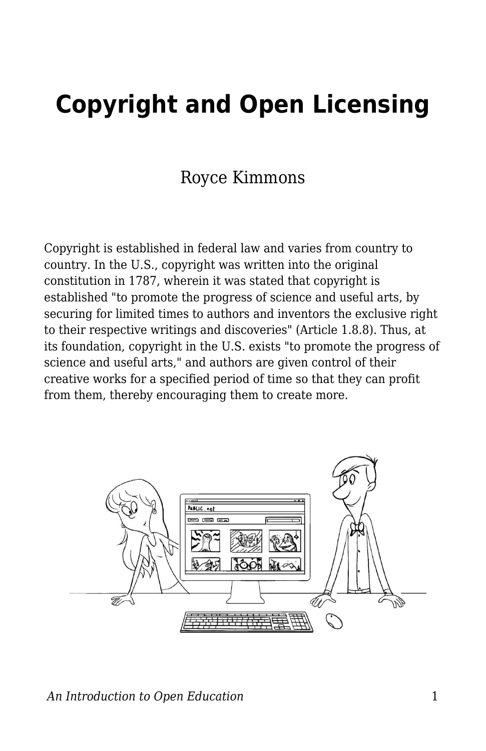# **Copyright and Open Licensing**

## Royce Kimmons

Copyright is established in federal law and varies from country to country. In the U.S., copyright was written into the original constitution in 1787, wherein it was stated that copyright is established "to promote the progress of science and useful arts, by securing for limited times to authors and inventors the exclusive right to their respective writings and discoveries" (Article 1.8.8). Thus, at its foundation, copyright in the U.S. exists "to promote the progress of science and useful arts," and authors are given control of their creative works for a specified period of time so that they can profit from them, thereby encouraging them to create more.

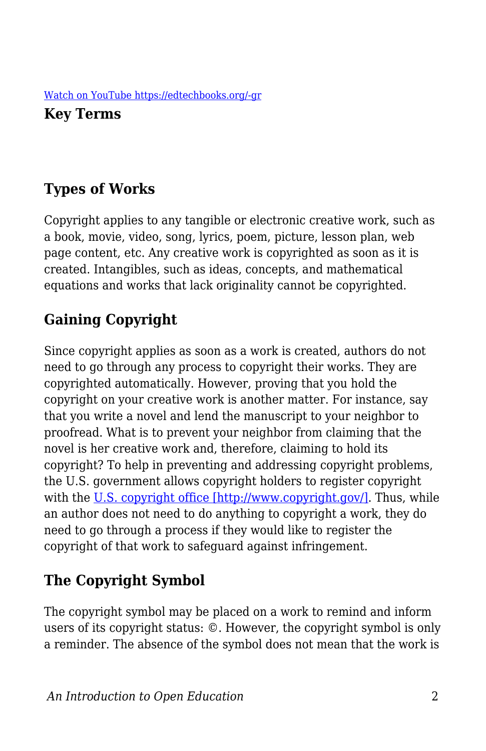**Key Terms**

## **Types of Works**

Copyright applies to any tangible or electronic creative work, such as a book, movie, video, song, lyrics, poem, picture, lesson plan, web page content, etc. Any creative work is copyrighted as soon as it is created. Intangibles, such as ideas, concepts, and mathematical equations and works that lack originality cannot be copyrighted.

## **Gaining Copyright**

Since copyright applies as soon as a work is created, authors do not need to go through any process to copyright their works. They are copyrighted automatically. However, proving that you hold the copyright on your creative work is another matter. For instance, say that you write a novel and lend the manuscript to your neighbor to proofread. What is to prevent your neighbor from claiming that the novel is her creative work and, therefore, claiming to hold its copyright? To help in preventing and addressing copyright problems, the U.S. government allows copyright holders to register copyright with the [U.S. copyright office \[http://www.copyright.gov/\]](http://www.copyright.gov/). Thus, while an author does not need to do anything to copyright a work, they do need to go through a process if they would like to register the copyright of that work to safeguard against infringement.

## **The Copyright Symbol**

The copyright symbol may be placed on a work to remind and inform users of its copyright status: ©. However, the copyright symbol is only a reminder. The absence of the symbol does not mean that the work is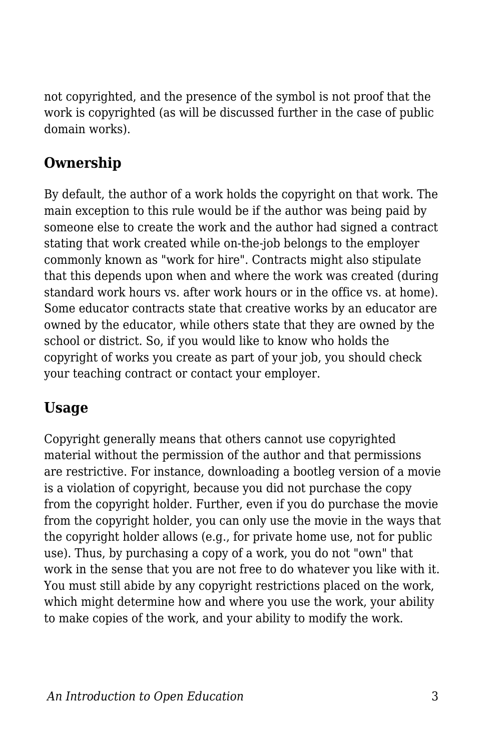not copyrighted, and the presence of the symbol is not proof that the work is copyrighted (as will be discussed further in the case of public domain works).

## **Ownership**

By default, the author of a work holds the copyright on that work. The main exception to this rule would be if the author was being paid by someone else to create the work and the author had signed a contract stating that work created while on-the-job belongs to the employer commonly known as "work for hire". Contracts might also stipulate that this depends upon when and where the work was created (during standard work hours vs. after work hours or in the office vs. at home). Some educator contracts state that creative works by an educator are owned by the educator, while others state that they are owned by the school or district. So, if you would like to know who holds the copyright of works you create as part of your job, you should check your teaching contract or contact your employer.

## **Usage**

Copyright generally means that others cannot use copyrighted material without the permission of the author and that permissions are restrictive. For instance, downloading a bootleg version of a movie is a violation of copyright, because you did not purchase the copy from the copyright holder. Further, even if you do purchase the movie from the copyright holder, you can only use the movie in the ways that the copyright holder allows (e.g., for private home use, not for public use). Thus, by purchasing a copy of a work, you do not "own" that work in the sense that you are not free to do whatever you like with it. You must still abide by any copyright restrictions placed on the work, which might determine how and where you use the work, your ability to make copies of the work, and your ability to modify the work.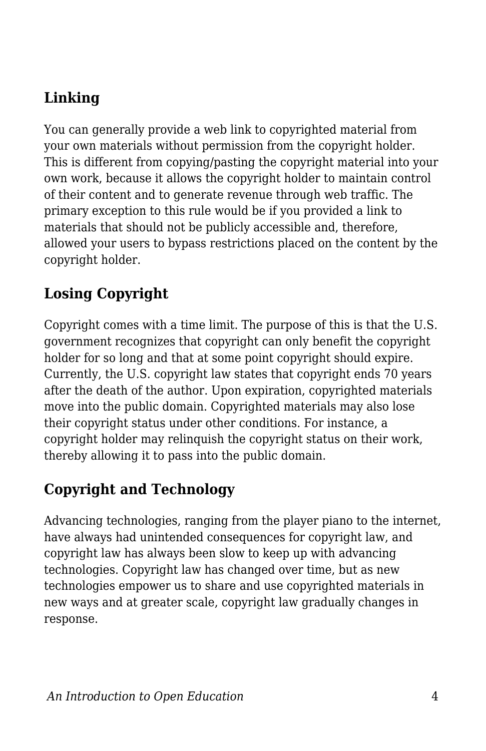## **Linking**

You can generally provide a web link to copyrighted material from your own materials without permission from the copyright holder. This is different from copying/pasting the copyright material into your own work, because it allows the copyright holder to maintain control of their content and to generate revenue through web traffic. The primary exception to this rule would be if you provided a link to materials that should not be publicly accessible and, therefore, allowed your users to bypass restrictions placed on the content by the copyright holder.

## **Losing Copyright**

Copyright comes with a time limit. The purpose of this is that the U.S. government recognizes that copyright can only benefit the copyright holder for so long and that at some point copyright should expire. Currently, the U.S. copyright law states that copyright ends 70 years after the death of the author. Upon expiration, copyrighted materials move into the public domain. Copyrighted materials may also lose their copyright status under other conditions. For instance, a copyright holder may relinquish the copyright status on their work, thereby allowing it to pass into the public domain.

## **Copyright and Technology**

Advancing technologies, ranging from the player piano to the internet, have always had unintended consequences for copyright law, and copyright law has always been slow to keep up with advancing technologies. Copyright law has changed over time, but as new technologies empower us to share and use copyrighted materials in new ways and at greater scale, copyright law gradually changes in response.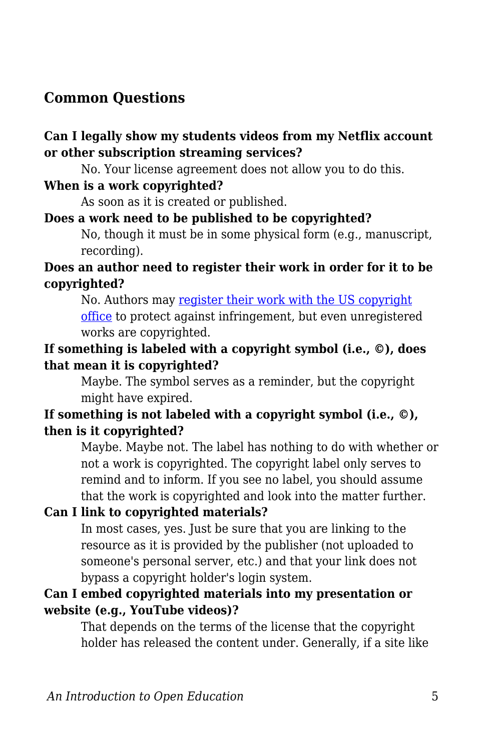## **Common Questions**

#### **Can I legally show my students videos from my Netflix account or other subscription streaming services?**

No. Your license agreement does not allow you to do this.

#### **When is a work copyrighted?**

As soon as it is created or published.

#### **Does a work need to be published to be copyrighted?**

No, though it must be in some physical form (e.g., manuscript, recording).

#### **Does an author need to register their work in order for it to be copyrighted?**

No. Authors may [register their work with the US copyright](http://www.copyright.gov/help/faq/faq-register.html) [office](http://www.copyright.gov/help/faq/faq-register.html) to protect against infringement, but even unregistered works are copyrighted.

#### **If something is labeled with a copyright symbol (i.e., ©), does that mean it is copyrighted?**

Maybe. The symbol serves as a reminder, but the copyright might have expired.

#### **If something is not labeled with a copyright symbol (i.e., ©), then is it copyrighted?**

Maybe. Maybe not. The label has nothing to do with whether or not a work is copyrighted. The copyright label only serves to remind and to inform. If you see no label, you should assume that the work is copyrighted and look into the matter further.

#### **Can I link to copyrighted materials?**

In most cases, yes. Just be sure that you are linking to the resource as it is provided by the publisher (not uploaded to someone's personal server, etc.) and that your link does not bypass a copyright holder's login system.

#### **Can I embed copyrighted materials into my presentation or website (e.g., YouTube videos)?**

That depends on the terms of the license that the copyright holder has released the content under. Generally, if a site like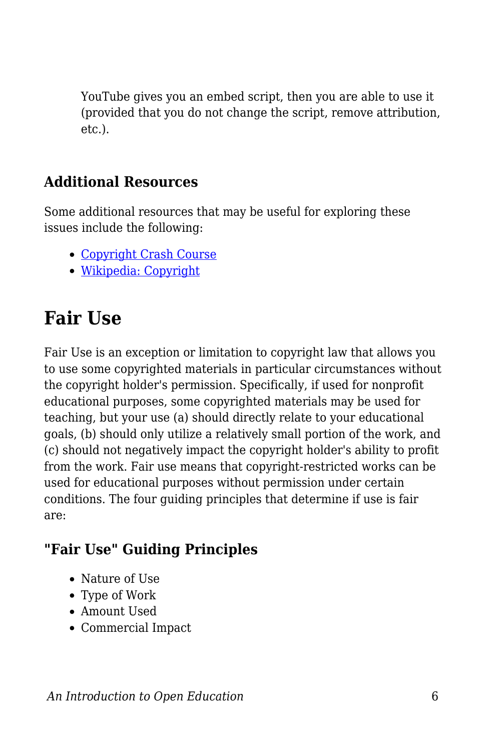YouTube gives you an embed script, then you are able to use it (provided that you do not change the script, remove attribution, etc.).

### **Additional Resources**

Some additional resources that may be useful for exploring these issues include the following:

- [Copyright Crash Course](http://copyright.lib.utexas.edu/)
- [Wikipedia: Copyright](http://en.wikipedia.org/wiki/Copyright)

## **Fair Use**

Fair Use is an exception or limitation to copyright law that allows you to use some copyrighted materials in particular circumstances without the copyright holder's permission. Specifically, if used for nonprofit educational purposes, some copyrighted materials may be used for teaching, but your use (a) should directly relate to your educational goals, (b) should only utilize a relatively small portion of the work, and (c) should not negatively impact the copyright holder's ability to profit from the work. Fair use means that copyright-restricted works can be used for educational purposes without permission under certain conditions. The four guiding principles that determine if use is fair are:

## **"Fair Use" Guiding Principles**

- Nature of Use
- Type of Work
- Amount Used
- Commercial Impact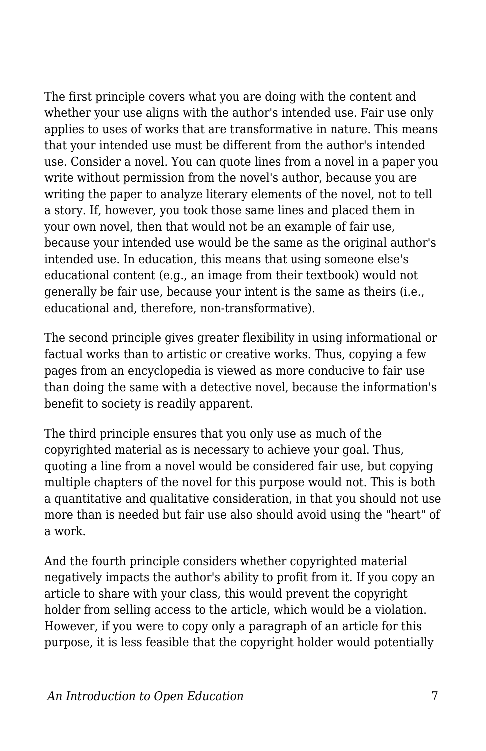The first principle covers what you are doing with the content and whether your use aligns with the author's intended use. Fair use only applies to uses of works that are transformative in nature. This means that your intended use must be different from the author's intended use. Consider a novel. You can quote lines from a novel in a paper you write without permission from the novel's author, because you are writing the paper to analyze literary elements of the novel, not to tell a story. If, however, you took those same lines and placed them in your own novel, then that would not be an example of fair use, because your intended use would be the same as the original author's intended use. In education, this means that using someone else's educational content (e.g., an image from their textbook) would not generally be fair use, because your intent is the same as theirs (i.e., educational and, therefore, non-transformative).

The second principle gives greater flexibility in using informational or factual works than to artistic or creative works. Thus, copying a few pages from an encyclopedia is viewed as more conducive to fair use than doing the same with a detective novel, because the information's benefit to society is readily apparent.

The third principle ensures that you only use as much of the copyrighted material as is necessary to achieve your goal. Thus, quoting a line from a novel would be considered fair use, but copying multiple chapters of the novel for this purpose would not. This is both a quantitative and qualitative consideration, in that you should not use more than is needed but fair use also should avoid using the "heart" of a work.

And the fourth principle considers whether copyrighted material negatively impacts the author's ability to profit from it. If you copy an article to share with your class, this would prevent the copyright holder from selling access to the article, which would be a violation. However, if you were to copy only a paragraph of an article for this purpose, it is less feasible that the copyright holder would potentially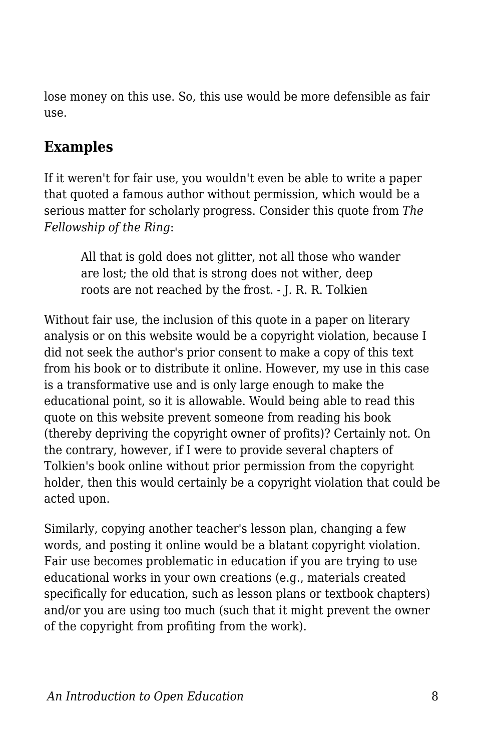lose money on this use. So, this use would be more defensible as fair use.

## **Examples**

If it weren't for fair use, you wouldn't even be able to write a paper that quoted a famous author without permission, which would be a serious matter for scholarly progress. Consider this quote from *The Fellowship of the Ring*:

All that is gold does not glitter, not all those who wander are lost; the old that is strong does not wither, deep roots are not reached by the frost. - J. R. R. Tolkien

Without fair use, the inclusion of this quote in a paper on literary analysis or on this website would be a copyright violation, because I did not seek the author's prior consent to make a copy of this text from his book or to distribute it online. However, my use in this case is a transformative use and is only large enough to make the educational point, so it is allowable. Would being able to read this quote on this website prevent someone from reading his book (thereby depriving the copyright owner of profits)? Certainly not. On the contrary, however, if I were to provide several chapters of Tolkien's book online without prior permission from the copyright holder, then this would certainly be a copyright violation that could be acted upon.

Similarly, copying another teacher's lesson plan, changing a few words, and posting it online would be a blatant copyright violation. Fair use becomes problematic in education if you are trying to use educational works in your own creations (e.g., materials created specifically for education, such as lesson plans or textbook chapters) and/or you are using too much (such that it might prevent the owner of the copyright from profiting from the work).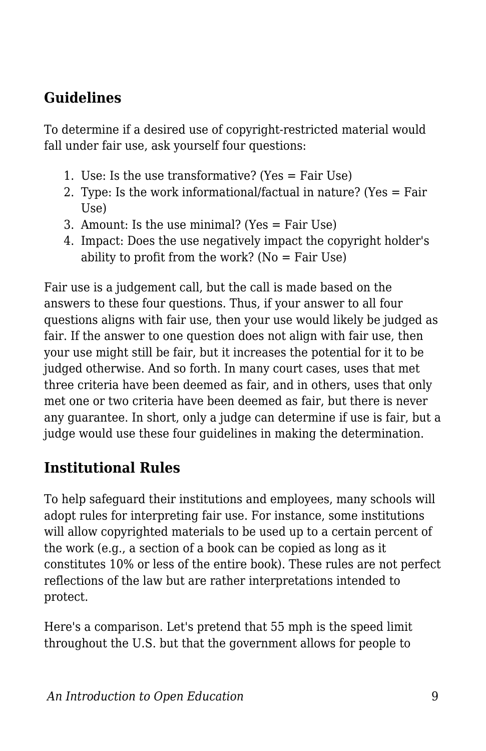## **Guidelines**

To determine if a desired use of copyright-restricted material would fall under fair use, ask yourself four questions:

- 1. Use: Is the use transformative? (Yes = Fair Use)
- 2. Type: Is the work informational/factual in nature? (Yes = Fair Use)
- 3. Amount: Is the use minimal? (Yes = Fair Use)
- 4. Impact: Does the use negatively impact the copyright holder's ability to profit from the work? ( $No = Fair Use$ )

Fair use is a judgement call, but the call is made based on the answers to these four questions. Thus, if your answer to all four questions aligns with fair use, then your use would likely be judged as fair. If the answer to one question does not align with fair use, then your use might still be fair, but it increases the potential for it to be judged otherwise. And so forth. In many court cases, uses that met three criteria have been deemed as fair, and in others, uses that only met one or two criteria have been deemed as fair, but there is never any guarantee. In short, only a judge can determine if use is fair, but a judge would use these four guidelines in making the determination.

## **Institutional Rules**

To help safeguard their institutions and employees, many schools will adopt rules for interpreting fair use. For instance, some institutions will allow copyrighted materials to be used up to a certain percent of the work (e.g., a section of a book can be copied as long as it constitutes 10% or less of the entire book). These rules are not perfect reflections of the law but are rather interpretations intended to protect.

Here's a comparison. Let's pretend that 55 mph is the speed limit throughout the U.S. but that the government allows for people to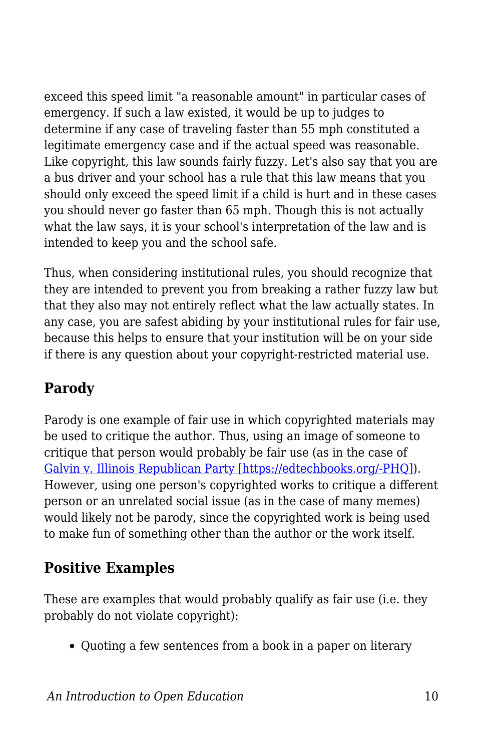exceed this speed limit "a reasonable amount" in particular cases of emergency. If such a law existed, it would be up to judges to determine if any case of traveling faster than 55 mph constituted a legitimate emergency case and if the actual speed was reasonable. Like copyright, this law sounds fairly fuzzy. Let's also say that you are a bus driver and your school has a rule that this law means that you should only exceed the speed limit if a child is hurt and in these cases you should never go faster than 65 mph. Though this is not actually what the law says, it is your school's interpretation of the law and is intended to keep you and the school safe.

Thus, when considering institutional rules, you should recognize that they are intended to prevent you from breaking a rather fuzzy law but that they also may not entirely reflect what the law actually states. In any case, you are safest abiding by your institutional rules for fair use, because this helps to ensure that your institution will be on your side if there is any question about your copyright-restricted material use.

## **Parody**

Parody is one example of fair use in which copyrighted materials may be used to critique the author. Thus, using an image of someone to critique that person would probably be fair use (as in the case of [Galvin v. Illinois Republican Party \[https://edtechbooks.org/-PHQ\]\)](http://copyright.gov/fair-use/summaries/galvin-republican-party-2015.pdf). However, using one person's copyrighted works to critique a different person or an unrelated social issue (as in the case of many memes) would likely not be parody, since the copyrighted work is being used to make fun of something other than the author or the work itself.

## **Positive Examples**

These are examples that would probably qualify as fair use (i.e. they probably do not violate copyright):

• Quoting a few sentences from a book in a paper on literary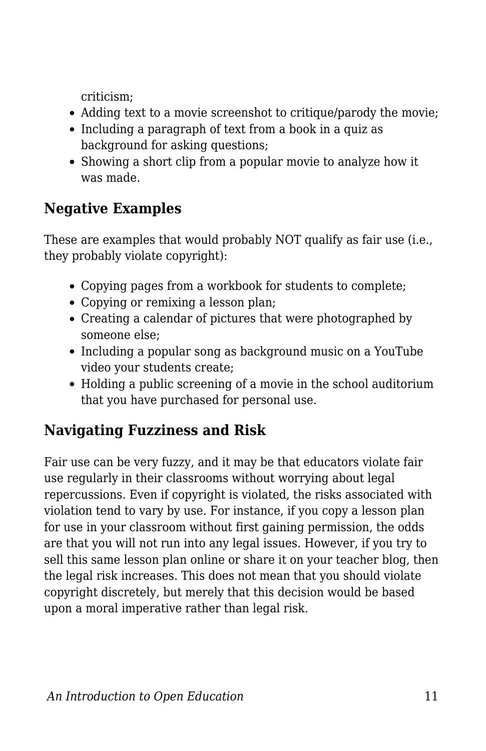criticism;

- Adding text to a movie screenshot to critique/parody the movie;
- Including a paragraph of text from a book in a quiz as background for asking questions;
- Showing a short clip from a popular movie to analyze how it was made.

## **Negative Examples**

These are examples that would probably NOT qualify as fair use (i.e., they probably violate copyright):

- Copying pages from a workbook for students to complete;
- Copying or remixing a lesson plan;
- Creating a calendar of pictures that were photographed by someone else;
- Including a popular song as background music on a YouTube video your students create;
- Holding a public screening of a movie in the school auditorium that you have purchased for personal use.

## **Navigating Fuzziness and Risk**

Fair use can be very fuzzy, and it may be that educators violate fair use regularly in their classrooms without worrying about legal repercussions. Even if copyright is violated, the risks associated with violation tend to vary by use. For instance, if you copy a lesson plan for use in your classroom without first gaining permission, the odds are that you will not run into any legal issues. However, if you try to sell this same lesson plan online or share it on your teacher blog, then the legal risk increases. This does not mean that you should violate copyright discretely, but merely that this decision would be based upon a moral imperative rather than legal risk.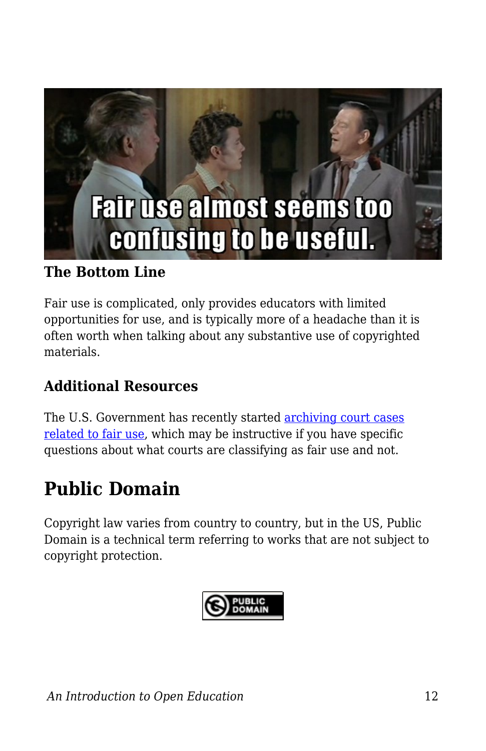

#### **The Bottom Line**

Fair use is complicated, only provides educators with limited opportunities for use, and is typically more of a headache than it is often worth when talking about any substantive use of copyrighted materials.

## **Additional Resources**

The U.S. Government has recently started [archiving court cases](http://copyright.gov/fair-use/fair-index.html) [related to fair use,](http://copyright.gov/fair-use/fair-index.html) which may be instructive if you have specific questions about what courts are classifying as fair use and not.

## **Public Domain**

Copyright law varies from country to country, but in the US, Public Domain is a technical term referring to works that are not subject to copyright protection.

$$
\bigotimes_{\text{DOMAIN}}^{\text{PUBLIC}}
$$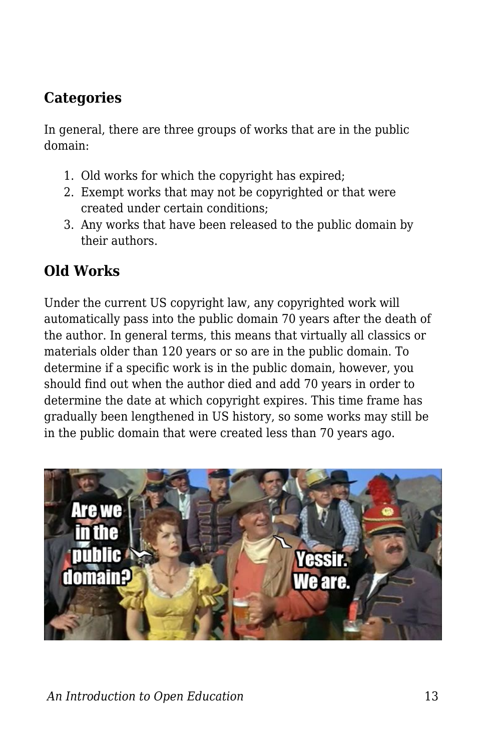## **Categories**

In general, there are three groups of works that are in the public domain:

- 1. Old works for which the copyright has expired;
- 2. Exempt works that may not be copyrighted or that were created under certain conditions;
- 3. Any works that have been released to the public domain by their authors.

## **Old Works**

Under the current US copyright law, any copyrighted work will automatically pass into the public domain 70 years after the death of the author. In general terms, this means that virtually all classics or materials older than 120 years or so are in the public domain. To determine if a specific work is in the public domain, however, you should find out when the author died and add 70 years in order to determine the date at which copyright expires. This time frame has gradually been lengthened in US history, so some works may still be in the public domain that were created less than 70 years ago.

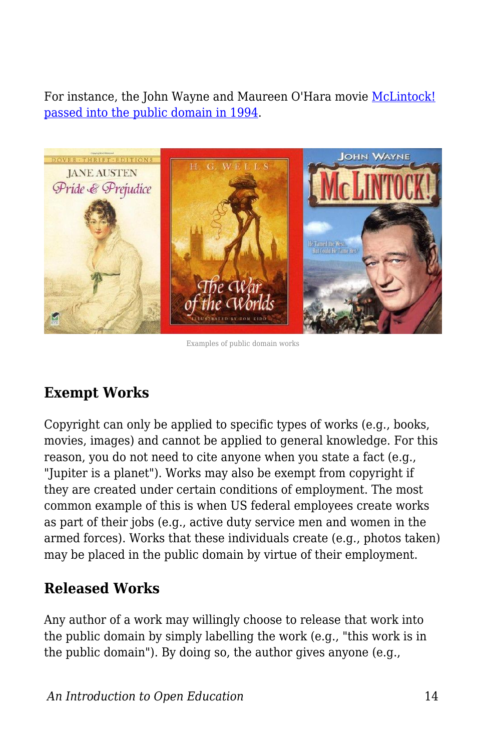For instance, the John Wayne and Maureen O'Hara movie [McLintock!](http://en.wikipedia.org/wiki/McLintock!) [passed into the public domain in 1994](http://en.wikipedia.org/wiki/McLintock!).



Examples of public domain works

## **Exempt Works**

Copyright can only be applied to specific types of works (e.g., books, movies, images) and cannot be applied to general knowledge. For this reason, you do not need to cite anyone when you state a fact (e.g., "Jupiter is a planet"). Works may also be exempt from copyright if they are created under certain conditions of employment. The most common example of this is when US federal employees create works as part of their jobs (e.g., active duty service men and women in the armed forces). Works that these individuals create (e.g., photos taken) may be placed in the public domain by virtue of their employment.

#### **Released Works**

Any author of a work may willingly choose to release that work into the public domain by simply labelling the work (e.g., "this work is in the public domain"). By doing so, the author gives anyone (e.g.,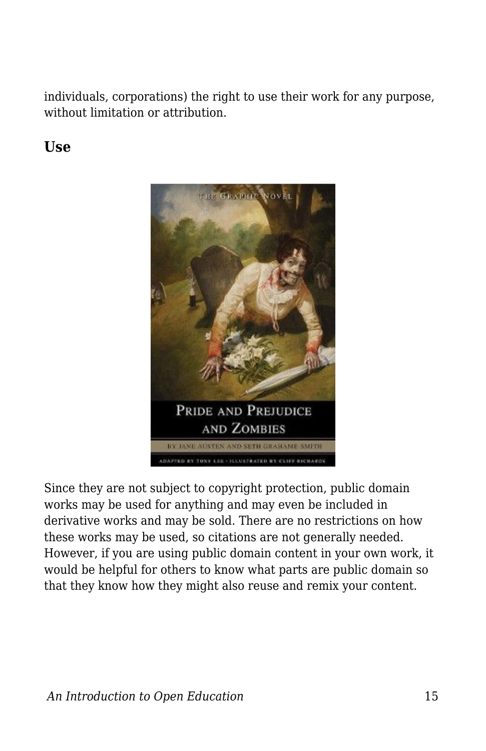individuals, corporations) the right to use their work for any purpose, without limitation or attribution.

#### **Use**



Since they are not subject to copyright protection, public domain works may be used for anything and may even be included in derivative works and may be sold. There are no restrictions on how these works may be used, so citations are not generally needed. However, if you are using public domain content in your own work, it would be helpful for others to know what parts are public domain so that they know how they might also reuse and remix your content.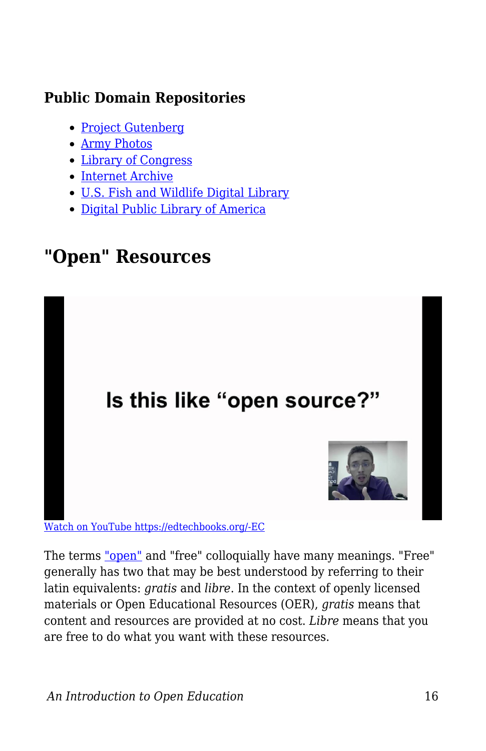## **Public Domain Repositories**

- [Project Gutenberg](http://www.gutenberg.org/)
- [Army Photos](http://www.army.mil/media/)
- [Library of Congress](http://www.loc.gov/)
- [Internet Archive](https://archive.org/)
- [U.S. Fish and Wildlife Digital Library](http://digitalmedia.fws.gov/)
- [Digital Public Library of America](http://dp.la/)

## **"Open" Resources**



[Watch on YouTube https://edtechbooks.org/-EC](https://www.youtube.com/embed/2gGA124fFgs?autoplay=1&rel=0&showinfo=0&modestbranding=1)

The terms ["open"](https://edtechbooks.org/k12handbook/glossary#open) and "free" colloquially have many meanings. "Free" generally has two that may be best understood by referring to their latin equivalents: *gratis* and *libre*. In the context of openly licensed materials or Open Educational Resources (OER), *gratis* means that content and resources are provided at no cost. *Libre* means that you are free to do what you want with these resources.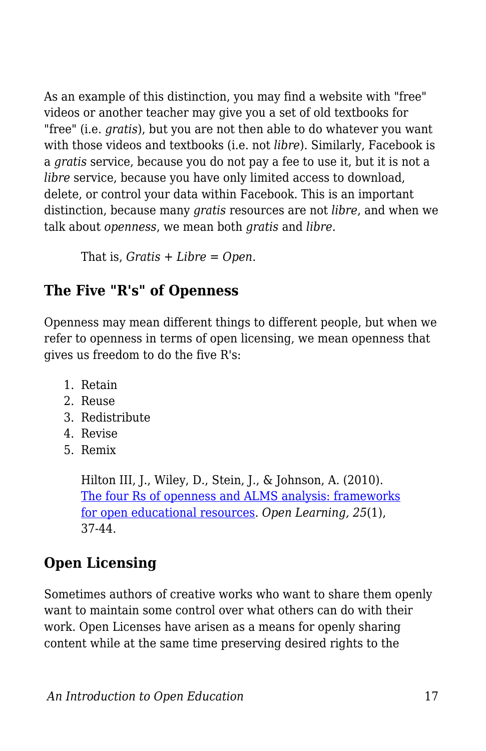As an example of this distinction, you may find a website with "free" videos or another teacher may give you a set of old textbooks for "free" (i.e. *gratis*), but you are not then able to do whatever you want with those videos and textbooks (i.e. not *libre*). Similarly, Facebook is a *gratis* service, because you do not pay a fee to use it, but it is not a *libre* service, because you have only limited access to download, delete, or control your data within Facebook. This is an important distinction, because many *gratis* resources are not *libre*, and when we talk about *openness*, we mean both *gratis* and *libre*.

That is, *Gratis + Libre = Open*.

## **The Five "R's" of Openness**

Openness may mean different things to different people, but when we refer to openness in terms of open licensing, we mean openness that gives us freedom to do the five R's:

- 1. Retain
- 2. Reuse
- 3. Redistribute
- 4. Revise
- 5. Remix

Hilton III, J., Wiley, D., Stein, J., & Johnson, A. (2010). [The four Rs of openness and ALMS analysis: frameworks](http://www.tandfonline.com/doi/abs/10.1080/02680510903482132#.VUlLRflVhBc) [for open educational resources.](http://www.tandfonline.com/doi/abs/10.1080/02680510903482132#.VUlLRflVhBc) *Open Learning, 25*(1), 37-44.

## **Open Licensing**

Sometimes authors of creative works who want to share them openly want to maintain some control over what others can do with their work. Open Licenses have arisen as a means for openly sharing content while at the same time preserving desired rights to the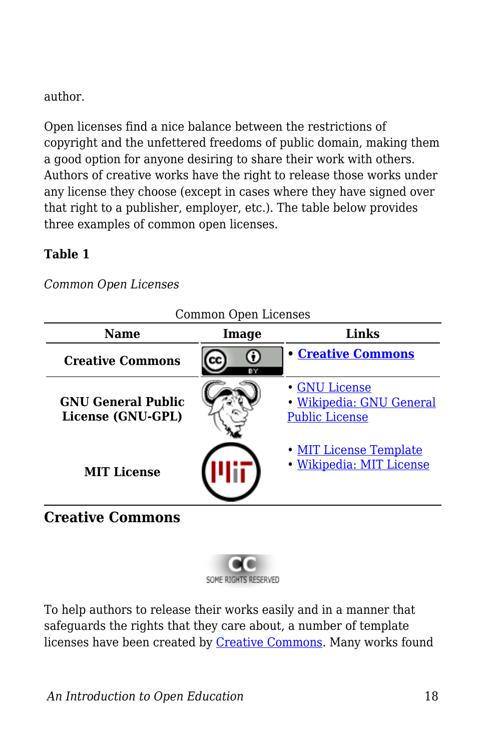#### author.

Open licenses find a nice balance between the restrictions of copyright and the unfettered freedoms of public domain, making them a good option for anyone desiring to share their work with others. Authors of creative works have the right to release those works under any license they choose (except in cases where they have signed over that right to a publisher, employer, etc.). The table below provides three examples of common open licenses.

#### **Table 1**

*Common Open Licenses*

| <b>Name</b>                                    | Image | COMMON Open Licenses<br>Links                                      |  |
|------------------------------------------------|-------|--------------------------------------------------------------------|--|
| <b>Creative Commons</b>                        | ΒY    | <b>• Creative Commons</b>                                          |  |
| <b>GNU General Public</b><br>License (GNU-GPL) |       | · GNU License<br>· Wikipedia: GNU General<br><b>Public License</b> |  |
| <b>MIT License</b>                             |       | • MIT License Template<br>· Wikipedia: MIT License                 |  |

Common Open Licenses

## **Creative Commons**



To help authors to release their works easily and in a manner that safeguards the rights that they care about, a number of template licenses have been created by [Creative Commons.](http://creativecommons.org/) Many works found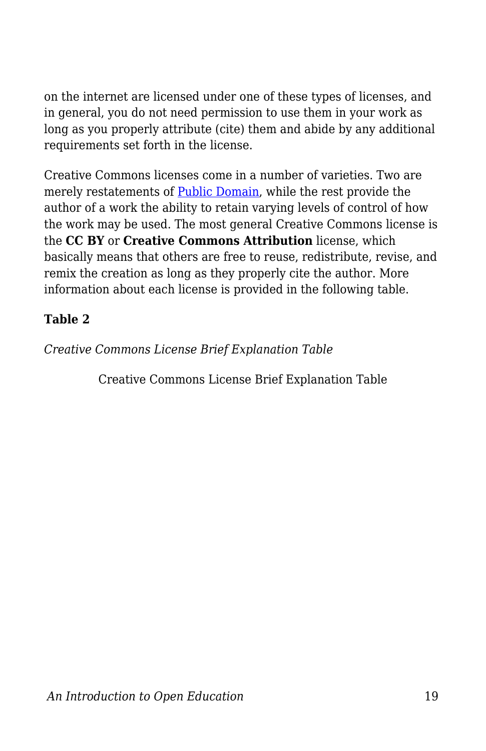on the internet are licensed under one of these types of licenses, and in general, you do not need permission to use them in your work as long as you properly attribute (cite) them and abide by any additional requirements set forth in the license.

Creative Commons licenses come in a number of varieties. Two are merely restatements of [Public Domain](https://edtechbooks.org/k12handbook/glossary#public_domain), while the rest provide the author of a work the ability to retain varying levels of control of how the work may be used. The most general Creative Commons license is the **CC BY** or **Creative Commons Attribution** license, which basically means that others are free to reuse, redistribute, revise, and remix the creation as long as they properly cite the author. More information about each license is provided in the following table.

#### **Table 2**

*Creative Commons License Brief Explanation Table*

Creative Commons License Brief Explanation Table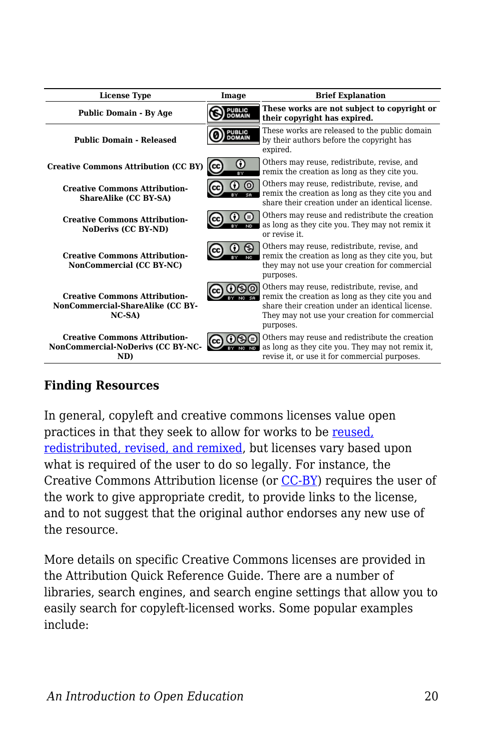| <b>License Type</b>                                                                 | Image                          | <b>Brief Explanation</b>                                                                                                                                                                                         |
|-------------------------------------------------------------------------------------|--------------------------------|------------------------------------------------------------------------------------------------------------------------------------------------------------------------------------------------------------------|
| <b>Public Domain - By Age</b>                                                       | <b>PUBLIC</b><br><b>DOMAIN</b> | These works are not subject to copyright or<br>their copyright has expired.                                                                                                                                      |
| <b>Public Domain - Released</b>                                                     | <b>PUBLIC</b><br><b>OMAIN</b>  | These works are released to the public domain<br>by their authors before the copyright has<br>expired.                                                                                                           |
| <b>Creative Commons Attribution (CC BY)</b>                                         | Ω<br>(cc<br>RY                 | Others may reuse, redistribute, revise, and<br>remix the creation as long as they cite you.                                                                                                                      |
| <b>Creative Commons Attribution-</b><br>ShareAlike (CC BY-SA)                       | ര                              | Others may reuse, redistribute, revise, and<br>remix the creation as long as they cite you and<br>share their creation under an identical license.                                                               |
| <b>Creative Commons Attribution-</b><br>NoDerivs (CC BY-ND)                         |                                | Others may reuse and redistribute the creation<br>as long as they cite you. They may not remix it<br>or revise it.                                                                                               |
| <b>Creative Commons Attribution-</b><br>NonCommercial (CC BY-NC)                    | 1 CC                           | Others may reuse, redistribute, revise, and<br>remix the creation as long as they cite you, but<br>they may not use your creation for commercial<br>purposes.                                                    |
| <b>Creative Commons Attribution-</b><br>NonCommercial-ShareAlike (CC BY-<br>$NC-SA$ |                                | Others may reuse, redistribute, revise, and<br>remix the creation as long as they cite you and<br>share their creation under an identical license.<br>They may not use your creation for commercial<br>purposes. |
| <b>Creative Commons Attribution-</b><br>NonCommercial-NoDerivs (CC BY-NC-<br>ND)    | lcc.                           | Others may reuse and redistribute the creation<br>as long as they cite you. They may not remix it,<br>revise it, or use it for commercial purposes.                                                              |

#### **Finding Resources**

In general, copyleft and creative commons licenses value open practices in that they seek to allow for works to be [reused,](http://contentdm.lib.byu.edu/cdm/ref/collection/IR/id/774) [redistributed, revised, and remixed,](http://contentdm.lib.byu.edu/cdm/ref/collection/IR/id/774) but licenses vary based upon what is required of the user to do so legally. For instance, the Creative Commons Attribution license (or [CC-BY\)](http://creativecommons.org/licenses/by/3.0/us/) requires the user of the work to give appropriate credit, to provide links to the license, and to not suggest that the original author endorses any new use of the resource.

More details on specific Creative Commons licenses are provided in the Attribution Quick Reference Guide. There are a number of libraries, search engines, and search engine settings that allow you to easily search for copyleft-licensed works. Some popular examples include: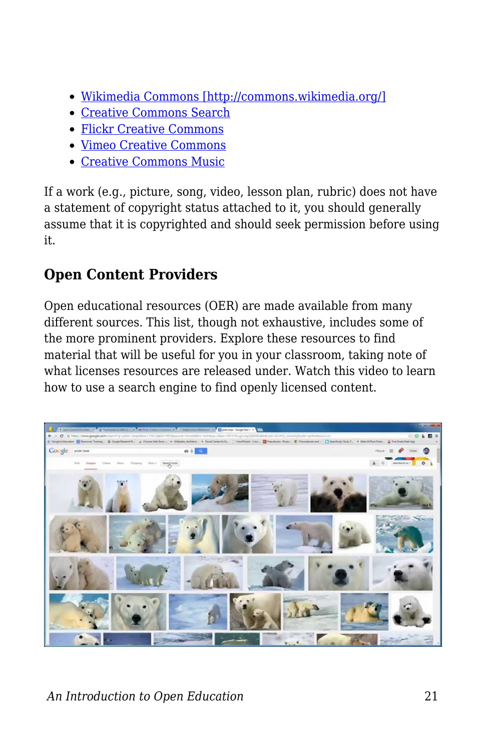- [Wikimedia Commons \[http://commons.wikimedia.org/\]](http://commons.wikimedia.org/)
- [Creative Commons Search](http://search.creativecommons.org/)
- [Flickr Creative Commons](https://edtechbooks.org/-LF)
- [Vimeo Creative Commons](https://edtechbooks.org/-sA)
- [Creative Commons Music](https://edtechbooks.org/-JJ)

If a work (e.g., picture, song, video, lesson plan, rubric) does not have a statement of copyright status attached to it, you should generally assume that it is copyrighted and should seek permission before using it.

## **Open Content Providers**

Open educational resources (OER) are made available from many different sources. This list, though not exhaustive, includes some of the more prominent providers. Explore these resources to find material that will be useful for you in your classroom, taking note of what licenses resources are released under. Watch this video to learn how to use a search engine to find openly licensed content.

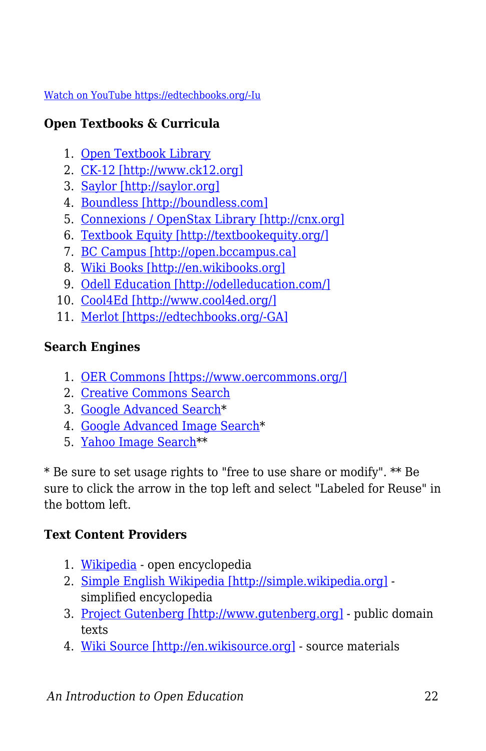#### [Watch on YouTube https://edtechbooks.org/-Iu](https://www.youtube.com/embed/vQfyDFvLHZE?autoplay=1&rel=0&showinfo=0&modestbranding=1)

#### **Open Textbooks & Curricula**

- 1. [Open Textbook Library](https://open.umn.edu/opentextbooks/)
- 2. [CK-12 \[http://www.ck12.org\]](http://www.ck12.org)
- 3. [Saylor \[http://saylor.org\]](http://saylor.org)
- 4. [Boundless \[http://boundless.com\]](http://boundless.com)
- 5. [Connexions / OpenStax Library \[http://cnx.org\]](http://cnx.org)
- 6. [Textbook Equity \[http://textbookequity.org/\]](http://textbookequity.org/)
- 7. [BC Campus \[http://open.bccampus.ca\]](http://open.bccampus.ca)
- 8. [Wiki Books \[http://en.wikibooks.org\]](http://en.wikibooks.org)
- 9. [Odell Education \[http://odelleducation.com/\]](http://odelleducation.com/)
- 10. [Cool4Ed \[http://www.cool4ed.org/\]](http://www.cool4ed.org/)
- 11. [Merlot \[https://edtechbooks.org/-GA\]](http://www.merlot.org/merlot/index.htm)

#### **Search Engines**

- 1. [OER Commons \[https://www.oercommons.org/\]](https://www.oercommons.org/)
- 2. [Creative Commons Search](http://search.creativecommons.org/)
- 3. [Google Advanced Search](https://www.google.com/advanced_search)\*
- 4. [Google Advanced Image Search\\*](http://www.google.com/advanced_image_search)
- 5. [Yahoo Image Search](http://images.search.yahoo.com)\*\*

\* Be sure to set usage rights to "free to use share or modify". \*\* Be sure to click the arrow in the top left and select "Labeled for Reuse" in the bottom left.

#### **Text Content Providers**

- 1. [Wikipedia](https://edtechbooks.org/-nW)  open encyclopedia
- 2. [Simple English Wikipedia \[http://simple.wikipedia.org\]](http://simple.wikipedia.org) simplified encyclopedia
- 3. [Project Gutenberg \[http://www.gutenberg.org\]](http://www.gutenberg.org)  public domain texts
- 4. [Wiki Source \[http://en.wikisource.org\]](http://en.wikisource.org)  source materials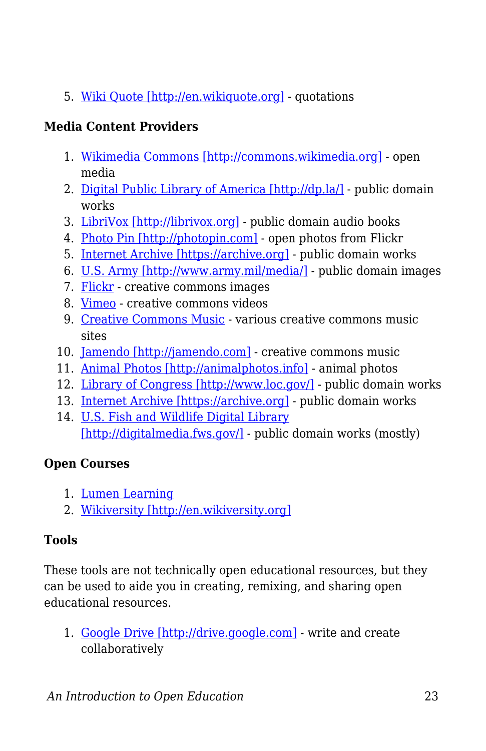5. [Wiki Quote \[http://en.wikiquote.org\]](http://en.wikiquote.org) - quotations

#### **Media Content Providers**

- 1. [Wikimedia Commons \[http://commons.wikimedia.org\]](http://commons.wikimedia.org) open media
- 2. [Digital Public Library of America \[http://dp.la/\]](http://dp.la/) public domain works
- 3. [LibriVox \[http://librivox.org\]](http://librivox.org) public domain audio books
- 4. [Photo Pin \[http://photopin.com\]](http://photopin.com)  open photos from Flickr
- 5. [Internet Archive \[https://archive.org\]](https://archive.org)  public domain works
- 6. [U.S. Army \[http://www.army.mil/media/\]](http://www.army.mil/media/)  public domain images
- 7. [Flickr](https://edtechbooks.org/-LF)  creative commons images
- 8. [Vimeo](https://edtechbooks.org/-sA)  creative commons videos
- 9. [Creative Commons Music](https://edtechbooks.org/-JJ) various creative commons music sites
- 10. [Jamendo \[http://jamendo.com\]](http://jamendo.com) creative commons music
- 11. [Animal Photos \[http://animalphotos.info\]](http://animalphotos.info) animal photos
- 12. [Library of Congress \[http://www.loc.gov/\]](http://www.loc.gov/) public domain works
- 13. [Internet Archive \[https://archive.org\]](https://archive.org)  public domain works
- 14. [U.S. Fish and Wildlife Digital Library](http://digitalmedia.fws.gov/) [\[http://digitalmedia.fws.gov/\]](http://digitalmedia.fws.gov/) - public domain works (mostly)

#### **Open Courses**

- 1. [Lumen Learning](https://edtechbooks.org/-cI)
- 2. [Wikiversity \[http://en.wikiversity.org\]](http://en.wikiversity.org)

#### **Tools**

These tools are not technically open educational resources, but they can be used to aide you in creating, remixing, and sharing open educational resources.

1. [Google Drive \[http://drive.google.com\]](http://drive.google.com) - write and create collaboratively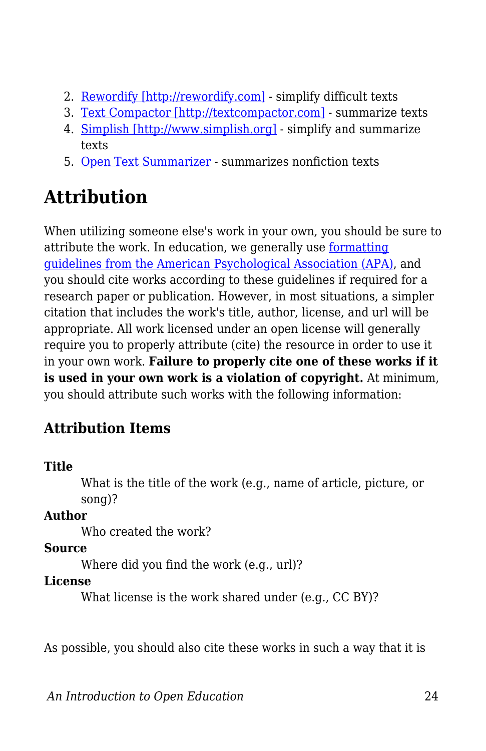- 2. [Rewordify \[http://rewordify.com\]](http://rewordify.com) simplify difficult texts
- 3. [Text Compactor \[http://textcompactor.com\]](http://textcompactor.com)  summarize texts
- 4. [Simplish \[http://www.simplish.org\]](http://www.simplish.org)  simplify and summarize texts
- 5. [Open Text Summarizer](https://edtechbooks.org/-vL)  summarizes nonfiction texts

## **Attribution**

When utilizing someone else's work in your own, you should be sure to attribute the work. In education, we generally use [formatting](http://www.apastyle.org/) [guidelines from the American Psychological Association \(APA\),](http://www.apastyle.org/) and you should cite works according to these guidelines if required for a research paper or publication. However, in most situations, a simpler citation that includes the work's title, author, license, and url will be appropriate. All work licensed under an open license will generally require you to properly attribute (cite) the resource in order to use it in your own work. **Failure to properly cite one of these works if it is used in your own work is a violation of copyright.** At minimum, you should attribute such works with the following information:

## **Attribution Items**

#### **Title**

What is the title of the work (e.g., name of article, picture, or song)?

#### **Author**

Who created the work?

#### **Source**

Where did you find the work (e.g., url)?

#### **License**

What license is the work shared under (e.g., CC BY)?

As possible, you should also cite these works in such a way that it is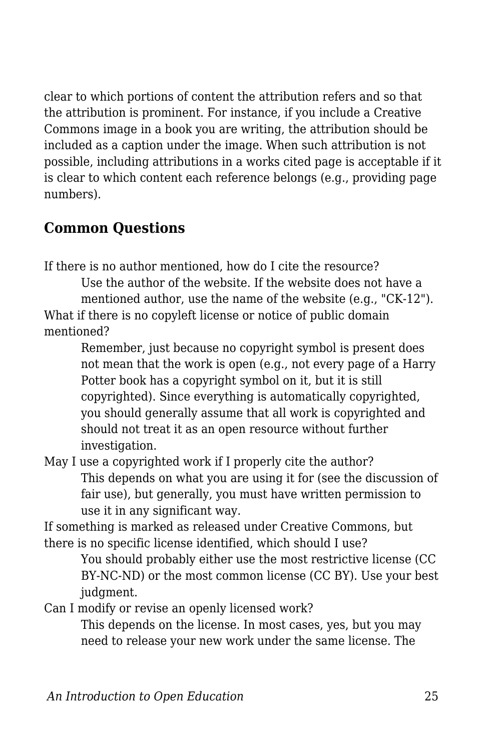clear to which portions of content the attribution refers and so that the attribution is prominent. For instance, if you include a Creative Commons image in a book you are writing, the attribution should be included as a caption under the image. When such attribution is not possible, including attributions in a works cited page is acceptable if it is clear to which content each reference belongs (e.g., providing page numbers).

## **Common Questions**

If there is no author mentioned, how do I cite the resource?

Use the author of the website. If the website does not have a mentioned author, use the name of the website (e.g., "CK-12"). What if there is no copyleft license or notice of public domain mentioned?

Remember, just because no copyright symbol is present does not mean that the work is open (e.g., not every page of a Harry Potter book has a copyright symbol on it, but it is still copyrighted). Since everything is automatically copyrighted, you should generally assume that all work is copyrighted and should not treat it as an open resource without further investigation.

May I use a copyrighted work if I properly cite the author? This depends on what you are using it for (see the discussion of fair use), but generally, you must have written permission to use it in any significant way.

If something is marked as released under Creative Commons, but there is no specific license identified, which should I use?

You should probably either use the most restrictive license (CC BY-NC-ND) or the most common license (CC BY). Use your best judgment.

Can I modify or revise an openly licensed work?

This depends on the license. In most cases, yes, but you may need to release your new work under the same license. The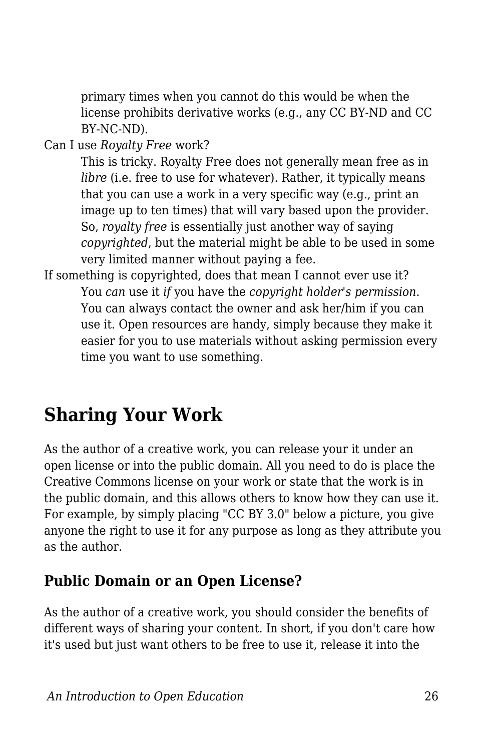primary times when you cannot do this would be when the license prohibits derivative works (e.g., any CC BY-ND and CC BY-NC-ND).

Can I use *Royalty Free* work?

This is tricky. Royalty Free does not generally mean free as in *libre* (*i.e.* free to use for whatever). Rather, it typically means that you can use a work in a very specific way (e.g., print an image up to ten times) that will vary based upon the provider. So, *royalty free* is essentially just another way of saying *copyrighted*, but the material might be able to be used in some very limited manner without paying a fee.

If something is copyrighted, does that mean I cannot ever use it? You *can* use it *if* you have the *copyright holder's permission*. You can always contact the owner and ask her/him if you can use it. Open resources are handy, simply because they make it easier for you to use materials without asking permission every time you want to use something.

## **Sharing Your Work**

As the author of a creative work, you can release your it under an open license or into the public domain. All you need to do is place the Creative Commons license on your work or state that the work is in the public domain, and this allows others to know how they can use it. For example, by simply placing "CC BY 3.0" below a picture, you give anyone the right to use it for any purpose as long as they attribute you as the author.

## **Public Domain or an Open License?**

As the author of a creative work, you should consider the benefits of different ways of sharing your content. In short, if you don't care how it's used but just want others to be free to use it, release it into the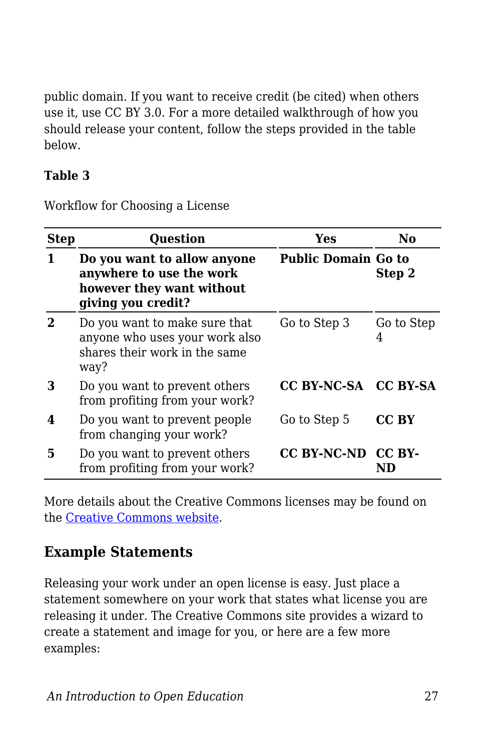public domain. If you want to receive credit (be cited) when others use it, use CC BY 3.0. For a more detailed walkthrough of how you should release your content, follow the steps provided in the table below.

#### **Table 3**

Workflow for Choosing a License

| <b>Step</b> | <b>Question</b>                                                                                            | Yes                        | No              |
|-------------|------------------------------------------------------------------------------------------------------------|----------------------------|-----------------|
|             | Do you want to allow anyone<br>anywhere to use the work<br>however they want without<br>giving you credit? | <b>Public Domain Go to</b> | Step 2          |
|             | Do you want to make sure that<br>anyone who uses your work also<br>shares their work in the same<br>way?   | Go to Step 3               | Go to Step<br>4 |
| З           | Do you want to prevent others<br>from profiting from your work?                                            | CC BY-NC-SA CC BY-SA       |                 |
| 4           | Do you want to prevent people<br>from changing your work?                                                  | Go to Step 5               | CC BY           |
| 5           | Do you want to prevent others<br>from profiting from your work?                                            | CC BY-NC-ND CC BY-         |                 |

More details about the Creative Commons licenses may be found on the [Creative Commons website](https://creativecommons.org/).

## **Example Statements**

Releasing your work under an open license is easy. Just place a statement somewhere on your work that states what license you are releasing it under. The Creative Commons site provides a wizard to create a statement and image for you, or here are a few more examples: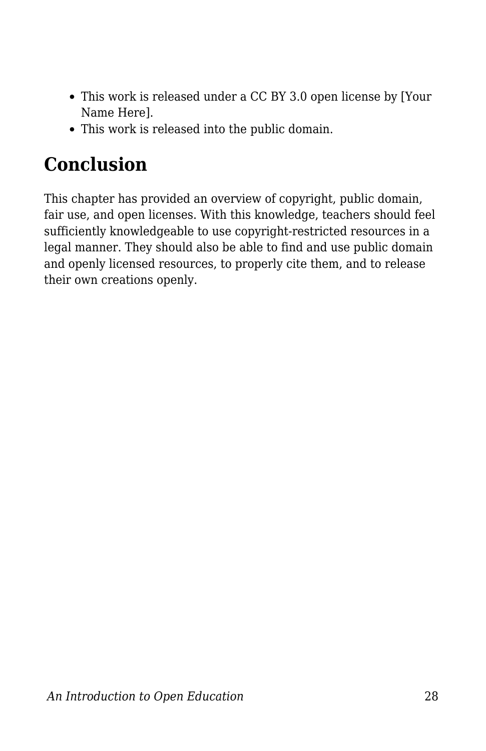- This work is released under a CC BY 3.0 open license by [Your Name Here].
- This work is released into the public domain.

## **Conclusion**

This chapter has provided an overview of copyright, public domain, fair use, and open licenses. With this knowledge, teachers should feel sufficiently knowledgeable to use copyright-restricted resources in a legal manner. They should also be able to find and use public domain and openly licensed resources, to properly cite them, and to release their own creations openly.